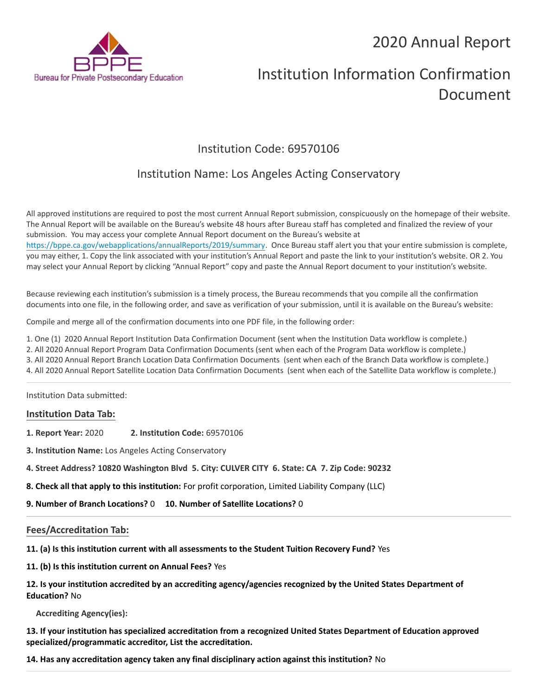# 2020 Annual Report



# Institution Information Confirmation Document

# Institution Code: 69570106

# Institution Name: Los Angeles Acting Conservatory

All approved institutions are required to post the most current Annual Report submission, conspicuously on the homepage of their website. The Annual Report will be available on the Bureau's website 48 hours after Bureau staff has completed and finalized the review of your submission. You may access your complete Annual Report document on the Bureau's website at <https://bppe.ca.gov/webapplications/annualReports/2019/summary>. Once Bureau staff alert you that your entire submission is complete, you may either, 1. Copy the link associated with your institution's Annual Report and paste the link to your institution's website. OR 2. You may select your Annual Report by clicking "Annual Report" copy and paste the Annual Report document to your institution's website.

Because reviewing each institution's submission is a timely process, the Bureau recommends that you compile all the confirmation documents into one file, in the following order, and save as verification of your submission, until it is available on the Bureau's website:

Compile and merge all of the confirmation documents into one PDF file, in the following order:

1. One (1) 2020 Annual Report Institution Data Confirmation Document (sent when the Institution Data workflow is complete.)

2. All 2020 Annual Report Program Data Confirmation Documents (sent when each of the Program Data workflow is complete.)

3. All 2020 Annual Report Branch Location Data Confirmation Documents (sent when each of the Branch Data workflow is complete.)

4. All 2020 Annual Report Satellite Location Data Confirmation Documents (sent when each of the Satellite Data workflow is complete.)

Institution Data submitted:

## **Institution Data Tab:**

- **1. Report Year:** 2020 **2. Institution Code:** 69570106
- **3. Institution Name:** Los Angeles Acting Conservatory
- **4. Street Address? 10820 Washington Blvd 5. City: CULVER CITY 6. State: CA 7. Zip Code: 90232**
- **8. Check all that apply to this institution:** For profit corporation, Limited Liability Company (LLC)
- **9. Number of Branch Locations?** 0 **10. Number of Satellite Locations?** 0

## **Fees/Accreditation Tab:**

**11. (a) Is this institution current with all assessments to the Student Tuition Recovery Fund?** Yes

**11. (b) Is this institution current on Annual Fees?** Yes

| 12. Is your institution accredited by an accrediting agency/agencies recognized by the United States Department of |
|--------------------------------------------------------------------------------------------------------------------|
| <b>Education? No</b>                                                                                               |

**Accrediting Agency(ies):**

**13. If your institution has specialized accreditation from a recognized United States Department of Education approved specialized/programmatic accreditor, List the accreditation.**

**14. Has any accreditation agency taken any final disciplinary action against this institution?** No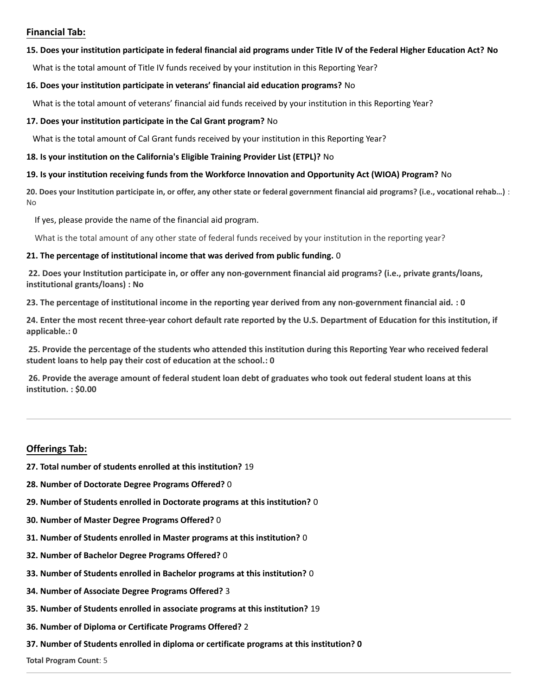## **Financial Tab:**

#### **15. Does your institution participate in federal financial aid programs under Title IV of the Federal Higher Education Act? No**

What is the total amount of Title IV funds received by your institution in this Reporting Year?

#### **16. Does your institution participate in veterans' financial aid education programs?** No

What is the total amount of veterans' financial aid funds received by your institution in this Reporting Year?

#### **17. Does your institution participate in the Cal Grant program?** No

What is the total amount of Cal Grant funds received by your institution in this Reporting Year?

#### **18. Is your institution on the California's Eligible Training Provider List (ETPL)?** No

#### **19. Is your institution receiving funds from the Workforce Innovation and Opportunity Act (WIOA) Program?** No

**20. Does your Institution participate in, or offer, any other state or federal government financial aid programs? (i.e., vocational rehab…)** : No

If yes, please provide the name of the financial aid program.

What is the total amount of any other state of federal funds received by your institution in the reporting year?

#### **21. The percentage of institutional income that was derived from public funding.** 0

**22. Does your Institution participate in, or offer any non-government financial aid programs? (i.e., private grants/loans, institutional grants/loans) : No**

**23. The percentage of institutional income in the reporting year derived from any non-government financial aid. : 0**

**24. Enter the most recent three-year cohort default rate reported by the U.S. Department of Education for this institution, if applicable.: 0**

**25. Provide the percentage of the students who attended this institution during this Reporting Year who received federal student loans to help pay their cost of education at the school.: 0**

**26. Provide the average amount of federal student loan debt of graduates who took out federal student loans at this institution. : \$0.00**

## **Offerings Tab:**

- **27. Total number of students enrolled at this institution?** 19
- **28. Number of Doctorate Degree Programs Offered?** 0
- **29. Number of Students enrolled in Doctorate programs at this institution?** 0
- **30. Number of Master Degree Programs Offered?** 0
- **31. Number of Students enrolled in Master programs at this institution?** 0
- **32. Number of Bachelor Degree Programs Offered?** 0
- **33. Number of Students enrolled in Bachelor programs at this institution?** 0
- **34. Number of Associate Degree Programs Offered?** 3
- **35. Number of Students enrolled in associate programs at this institution?** 19
- **36. Number of Diploma or Certificate Programs Offered?** 2
- **37. Number of Students enrolled in diploma or certificate programs at this institution? 0**